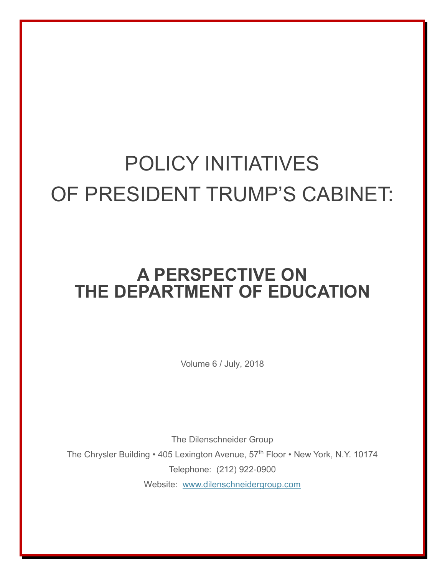## POLICY INITIATIVES OF PRESIDENT TRUMP'S CABINET:

## **A PERSPECTIVE ON THE DEPARTMENT OF EDUCATION**

Volume 6 / July, 2018

The Dilenschneider Group The Chrysler Building • 405 Lexington Avenue, 57<sup>th</sup> Floor • New York, N.Y. 10174 Telephone: (212) 922-0900 Website: [www.dilenschneidergroup.com](http://www.dilenschneidergroup.com/)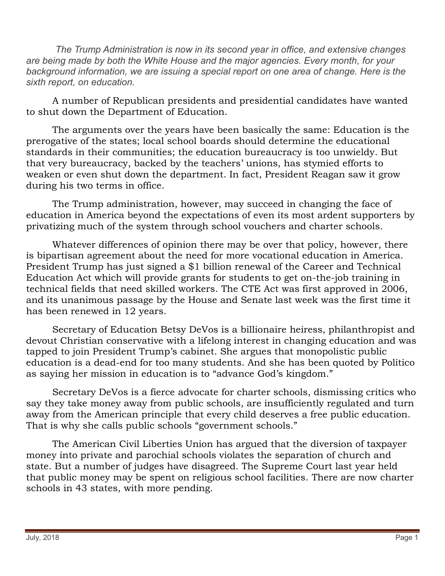*The Trump Administration is now in its second year in office, and extensive changes are being made by both the White House and the major agencies. Every month, for your*  background information, we are issuing a special report on one area of change. Here is the *sixth report, on education.* 

A number of Republican presidents and presidential candidates have wanted to shut down the Department of Education.

The arguments over the years have been basically the same: Education is the prerogative of the states; local school boards should determine the educational standards in their communities; the education bureaucracy is too unwieldy. But that very bureaucracy, backed by the teachers' unions, has stymied efforts to weaken or even shut down the department. In fact, President Reagan saw it grow during his two terms in office.

The Trump administration, however, may succeed in changing the face of education in America beyond the expectations of even its most ardent supporters by privatizing much of the system through school vouchers and charter schools.

Whatever differences of opinion there may be over that policy, however, there is bipartisan agreement about the need for more vocational education in America. President Trump has just signed a \$1 billion renewal of the Career and Technical Education Act which will provide grants for students to get on-the-job training in technical fields that need skilled workers. The CTE Act was first approved in 2006, and its unanimous passage by the House and Senate last week was the first time it has been renewed in 12 years.

Secretary of Education Betsy DeVos is a billionaire heiress, philanthropist and devout Christian conservative with a lifelong interest in changing education and was tapped to join President Trump's cabinet. She argues that monopolistic public education is a dead-end for too many students. And she has been quoted by Politico as saying her mission in education is to "advance God's kingdom."

Secretary DeVos is a fierce advocate for charter schools, dismissing critics who say they take money away from public schools, are insufficiently regulated and turn away from the American principle that every child deserves a free public education. That is why she calls public schools "government schools."

The American Civil Liberties Union has argued that the diversion of taxpayer money into private and parochial schools violates the separation of church and state. But a number of judges have disagreed. The Supreme Court last year held that public money may be spent on religious school facilities. There are now charter schools in 43 states, with more pending.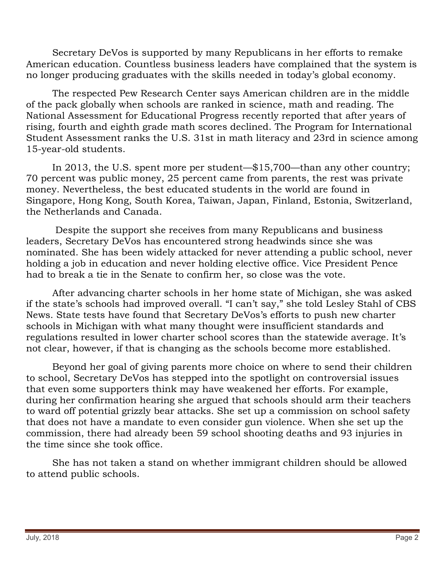Secretary DeVos is supported by many Republicans in her efforts to remake American education. Countless business leaders have complained that the system is no longer producing graduates with the skills needed in today's global economy.

The respected Pew Research Center says American children are in the middle of the pack globally when schools are ranked in science, math and reading. The National Assessment for Educational Progress recently reported that after years of rising, fourth and eighth grade math scores declined. The Program for International Student Assessment ranks the U.S. 31st in math literacy and 23rd in science among 15-year-old students.

In 2013, the U.S. spent more per student—\$15,700—than any other country; 70 percent was public money, 25 percent came from parents, the rest was private money. Nevertheless, the best educated students in the world are found in Singapore, Hong Kong, South Korea, Taiwan, Japan, Finland, Estonia, Switzerland, the Netherlands and Canada.

Despite the support she receives from many Republicans and business leaders, Secretary DeVos has encountered strong headwinds since she was nominated. She has been widely attacked for never attending a public school, never holding a job in education and never holding elective office. Vice President Pence had to break a tie in the Senate to confirm her, so close was the vote.

After advancing charter schools in her home state of Michigan, she was asked if the state's schools had improved overall. "I can't say," she told Lesley Stahl of CBS News. State tests have found that Secretary DeVos's efforts to push new charter schools in Michigan with what many thought were insufficient standards and regulations resulted in lower charter school scores than the statewide average. It's not clear, however, if that is changing as the schools become more established.

Beyond her goal of giving parents more choice on where to send their children to school, Secretary DeVos has stepped into the spotlight on controversial issues that even some supporters think may have weakened her efforts. For example, during her confirmation hearing she argued that schools should arm their teachers to ward off potential grizzly bear attacks. She set up a commission on school safety that does not have a mandate to even consider gun violence. When she set up the commission, there had already been 59 school shooting deaths and 93 injuries in the time since she took office.

She has not taken a stand on whether immigrant children should be allowed to attend public schools.